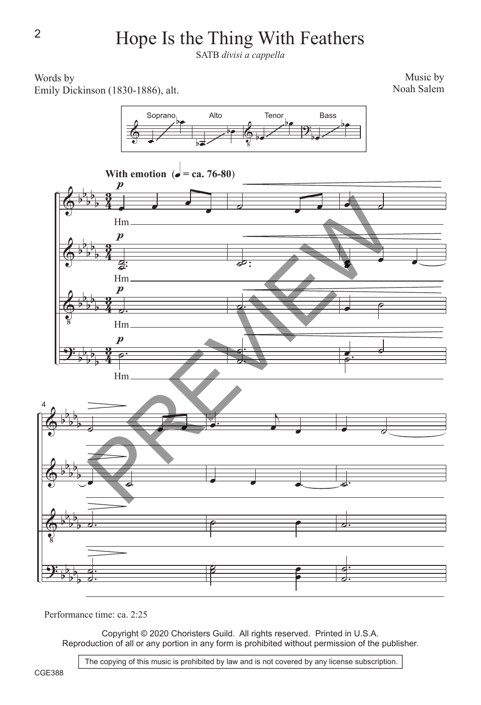## Hope Is the Thing With Feathers

SATB *divisi a cappella*

## Words by Emily Dickinson (1830-1886), alt.

Music by Noah Salem





Performance time: ca. 2:25

Copyright © 2020 Choristers Guild. All rights reserved. Printed in U.S.A. Reproduction of all or any portion in any form is prohibited without permission of the publisher.

2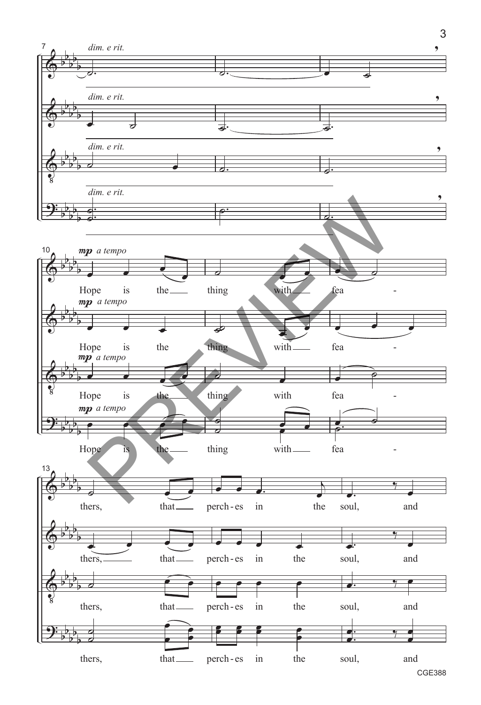

CGE388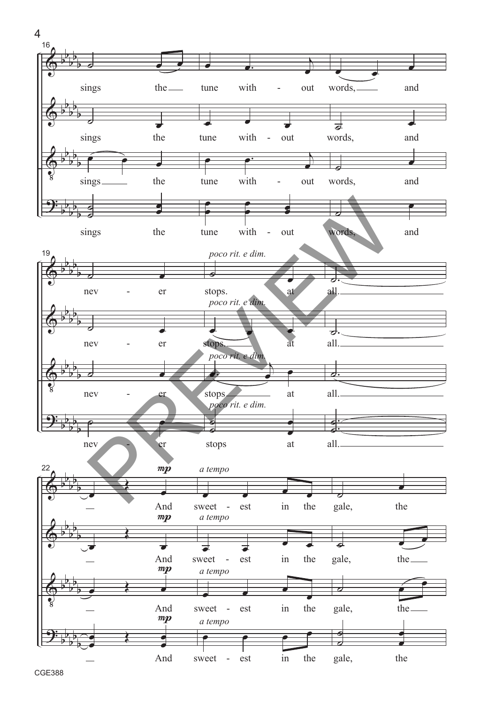